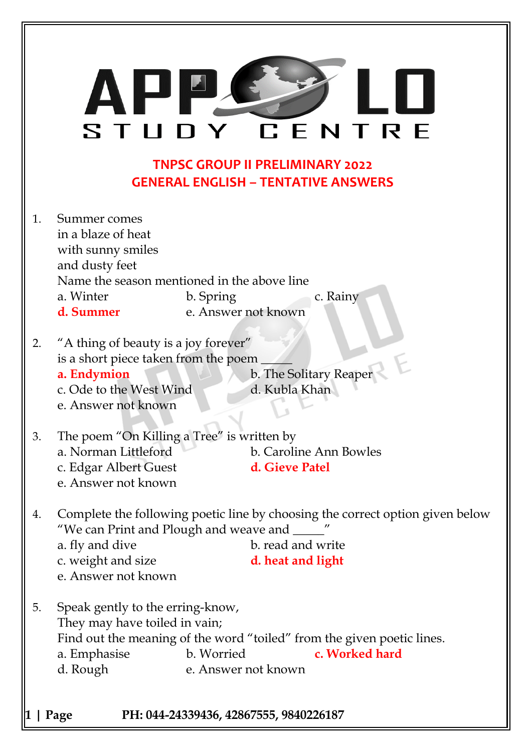|          | ĮJ Į<br>CENTRE<br>STUDY                                                                                                                                                                                                                  |
|----------|------------------------------------------------------------------------------------------------------------------------------------------------------------------------------------------------------------------------------------------|
|          | <b>TNPSC GROUP II PRELIMINARY 2022</b><br><b>GENERAL ENGLISH - TENTATIVE ANSWERS</b>                                                                                                                                                     |
| 1.       | Summer comes<br>in a blaze of heat<br>with sunny smiles<br>and dusty feet<br>Name the season mentioned in the above line<br>a. Winter<br>b. Spring<br>c. Rainy<br>e. Answer not known<br>d. Summer                                       |
| 2.       | "A thing of beauty is a joy forever"<br>is a short piece taken from the poem<br>b. The Solitary Reaper<br>a. Endymion<br>c. Ode to the West Wind<br>d. Kubla Khan<br>e. Answer not known                                                 |
| 3.       | The poem "On Killing a Tree" is written by<br>a. Norman Littleford<br>b. Caroline Ann Bowles<br>c. Edgar Albert Guest<br>d. Gieve Patel<br>e. Answer not known                                                                           |
| 4.       | Complete the following poetic line by choosing the correct option given below<br>"We can Print and Plough and weave and _____"<br>a. fly and dive<br>b. read and write<br>c. weight and size<br>d. heat and light<br>e. Answer not known |
| 5.       | Speak gently to the erring-know,<br>They may have toiled in vain;<br>Find out the meaning of the word "toiled" from the given poetic lines.<br>b. Worried<br>c. Worked hard<br>a. Emphasise<br>e. Answer not known<br>d. Rough           |
| 1   Page | PH: 044-24339436, 42867555, 9840226187                                                                                                                                                                                                   |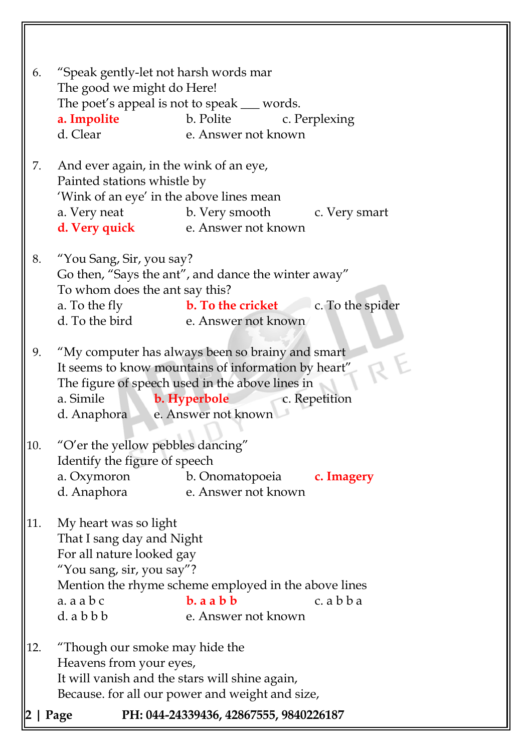| 6.  | "Speak gently-let not harsh words mar<br>The good we might do Here!<br>a. Impolite<br>d. Clear                                                       | The poet's appeal is not to speak __ words.<br>b. Polite<br>c. Perplexing                                                                                                   |
|-----|------------------------------------------------------------------------------------------------------------------------------------------------------|-----------------------------------------------------------------------------------------------------------------------------------------------------------------------------|
| 7.  | And ever again, in the wink of an eye,<br>Painted stations whistle by<br>'Wink of an eye' in the above lines mean                                    | a. Very neat b. Very smooth c. Very smart<br>d. Very quick e. Answer not known                                                                                              |
| 8.  | "You Sang, Sir, you say?<br>To whom does the ant say this?                                                                                           | Go then, "Says the ant", and dance the winter away"<br>a. To the fly <b>b. To the cricket</b> c. To the spider<br>d. To the bird e. Answer not known                        |
| 9.  | a. Simile <b>b. Hyperbole</b><br>d. Anaphora e. Answer not known                                                                                     | "My computer has always been so brainy and smart<br>It seems to know mountains of information by heart"<br>The figure of speech used in the above lines in<br>c. Repetition |
| 10. | "O'er the yellow pebbles dancing"<br>Identify the figure of speech<br>a. Oxymoron<br>d. Anaphora                                                     | b. Onomatopoeia <b>c. Imagery</b><br>e. Answer not known                                                                                                                    |
| 11. | My heart was so light<br>That I sang day and Night<br>For all nature looked gay<br>"You sang, sir, you say"?<br>$a. a$ a $b$ c<br>$d.$ a $b$ $b$ $b$ | Mention the rhyme scheme employed in the above lines<br>$b.$ a a $b$ $b$<br>c. a b b a<br>e. Answer not known                                                               |
| 12. | "Though our smoke may hide the<br>Heavens from your eyes,<br>It will vanish and the stars will shine again,                                          | Because. for all our power and weight and size,                                                                                                                             |
|     | Page                                                                                                                                                 | PH: 044-24339436, 42867555, 9840226187                                                                                                                                      |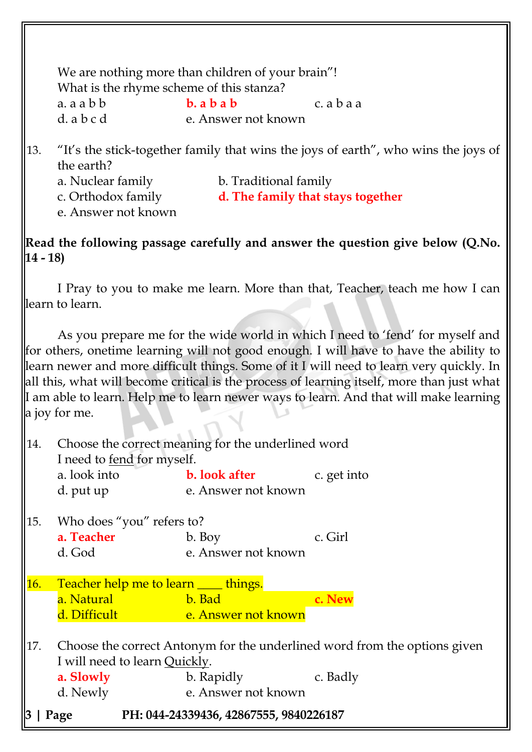We are nothing more than children of your brain"! What is the rhyme scheme of this stanza? a. a a b b **b. a b a b** c. a b a a d. a b c d e. Answer not known

- 13. "It"s the stick-together family that wins the joys of earth", who wins the joys of the earth?
	- a. Nuclear family b. Traditional family c. Orthodox family **d. The family that stays together** e. Answer not known

**Read the following passage carefully and answer the question give below (Q.No. 14 - 18)**

I Pray to you to make me learn. More than that, Teacher, teach me how I can learn to learn.

As you prepare me for the wide world in which I need to "fend" for myself and for others, onetime learning will not good enough. I will have to have the ability to learn newer and more difficult things. Some of it I will need to learn very quickly. In all this, what will become critical is the process of learning itself, more than just what If am able to learn. Help me to learn newer ways to learn. And that will make learning a joy for me.

| 14. | I need to fend for myself.                  | Choose the correct meaning for the underlined word |                                                                           |
|-----|---------------------------------------------|----------------------------------------------------|---------------------------------------------------------------------------|
|     |                                             | a. look into <b>b. look after</b> c. get into      |                                                                           |
|     | d. put up                                   | e. Answer not known                                |                                                                           |
| 15. | Who does "you" refers to?                   |                                                    |                                                                           |
|     | a. Teacher                                  | b. Boy                                             | c. Girl                                                                   |
|     | d. God                                      | e. Answer not known                                |                                                                           |
| 16. | Teacher help me to learn <u>___</u> things. |                                                    |                                                                           |
|     | a. Natural<br><u>b. Bad</u>                 |                                                    | c. New                                                                    |
|     |                                             | d. Difficult e. Answer not known                   |                                                                           |
| 17. | I will need to learn Quickly.               |                                                    | Choose the correct Antonym for the underlined word from the options given |
|     | a. Slowly                                   | b. Rapidly<br>c. Badly                             |                                                                           |
|     | d. Newly                                    | e. Answer not known                                |                                                                           |
| 3   | Page                                        | PH: 044-24339436, 42867555, 9840226187             |                                                                           |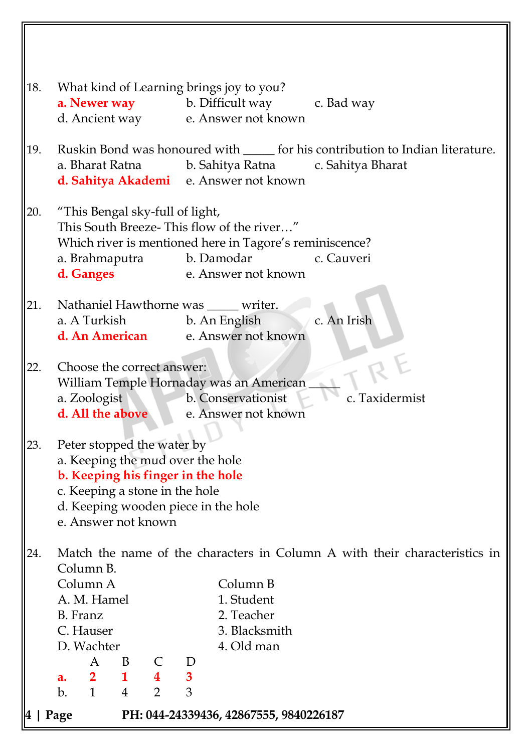| 18. |                                                                                                                                                                                                     |                                |                                           |                       | What kind of Learning brings joy to you?<br><b>a. Newer way</b> b. Difficult way c. Bad way                                               |                                                                                                                                       |
|-----|-----------------------------------------------------------------------------------------------------------------------------------------------------------------------------------------------------|--------------------------------|-------------------------------------------|-----------------------|-------------------------------------------------------------------------------------------------------------------------------------------|---------------------------------------------------------------------------------------------------------------------------------------|
|     |                                                                                                                                                                                                     |                                |                                           |                       | d. Ancient way e. Answer not known                                                                                                        |                                                                                                                                       |
| 19. |                                                                                                                                                                                                     |                                |                                           |                       | d. Sahitya Akademi e. Answer not known                                                                                                    | Ruskin Bond was honoured with ______ for his contribution to Indian literature.<br>a. Bharat Ratna b. Sahitya Ratna c. Sahitya Bharat |
| 20. | "This Bengal sky-full of light,<br>a. Brahmaputra<br>d. Ganges                                                                                                                                      |                                |                                           |                       | This South Breeze-This flow of the river"<br>Which river is mentioned here in Tagore's reminiscence?<br>b. Damodar<br>e. Answer not known | c. Cauveri                                                                                                                            |
| 21. | a. A Turkish                                                                                                                                                                                        |                                |                                           |                       | Nathaniel Hawthorne was ____ writer.<br>b. An English                                                                                     | c. An Irish                                                                                                                           |
|     |                                                                                                                                                                                                     |                                |                                           |                       | d. An American e. Answer not known                                                                                                        |                                                                                                                                       |
| 22. | Choose the correct answer:<br>a. Zoologist<br>d. All the above                                                                                                                                      |                                |                                           |                       | William Temple Hornaday was an American<br>b. Conservationist<br>e. Answer not known                                                      | c. Taxidermist                                                                                                                        |
| 23. | Peter stopped the water by<br>a. Keeping the mud over the hole<br>b. Keeping his finger in the hole<br>c. Keeping a stone in the hole<br>d. Keeping wooden piece in the hole<br>e. Answer not known |                                |                                           |                       |                                                                                                                                           |                                                                                                                                       |
| 24. | Column B.                                                                                                                                                                                           |                                |                                           |                       |                                                                                                                                           | Match the name of the characters in Column A with their characteristics in                                                            |
|     | Column A                                                                                                                                                                                            |                                |                                           |                       | Column B                                                                                                                                  |                                                                                                                                       |
|     | A. M. Hamel<br>B. Franz                                                                                                                                                                             |                                |                                           |                       | 1. Student<br>2. Teacher                                                                                                                  |                                                                                                                                       |
|     | C. Hauser                                                                                                                                                                                           |                                |                                           |                       | 3. Blacksmith                                                                                                                             |                                                                                                                                       |
|     | D. Wachter                                                                                                                                                                                          |                                |                                           |                       | 4. Old man                                                                                                                                |                                                                                                                                       |
|     | A                                                                                                                                                                                                   | B                              |                                           | D                     |                                                                                                                                           |                                                                                                                                       |
|     | $\overline{\mathbf{2}}$<br>a.<br>$\mathbf{1}$<br>b.                                                                                                                                                 | $\mathbf{1}$<br>$\overline{4}$ | $\overline{\mathbf{4}}$<br>$\overline{2}$ | $\boldsymbol{3}$<br>3 |                                                                                                                                           |                                                                                                                                       |
|     |                                                                                                                                                                                                     |                                |                                           |                       |                                                                                                                                           |                                                                                                                                       |
|     | Page                                                                                                                                                                                                |                                |                                           |                       | PH: 044-24339436, 42867555, 9840226187                                                                                                    |                                                                                                                                       |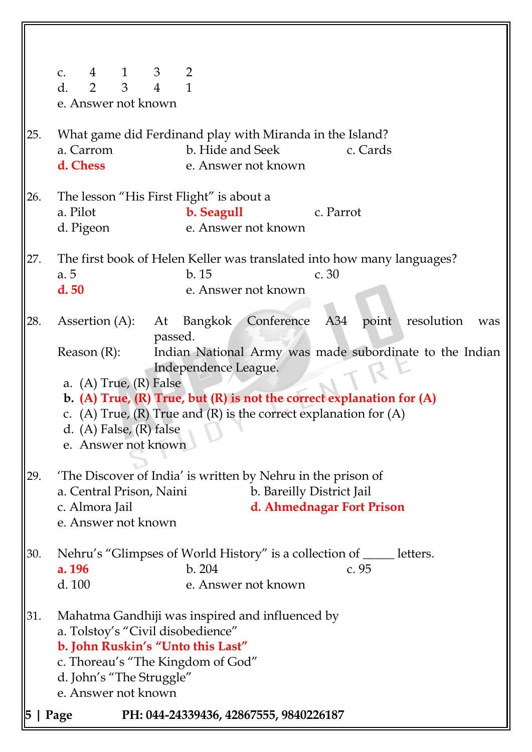|     | 4 1 3 2<br>C <sub>1</sub><br>$\mathbf{1}$<br>$2 \quad 3$<br>$\overline{4}$<br>d.<br>e. Answer not known                                                                                                                                                                                                                                                                                                                 |
|-----|-------------------------------------------------------------------------------------------------------------------------------------------------------------------------------------------------------------------------------------------------------------------------------------------------------------------------------------------------------------------------------------------------------------------------|
| 25. | What game did Ferdinand play with Miranda in the Island?<br>a. Carrom<br>b. Hide and Seek<br>c. Cards<br>d. Chess<br>e. Answer not known                                                                                                                                                                                                                                                                                |
| 26. | The lesson "His First Flight" is about a<br>a. Pilot<br>b. Seagull<br>c. Parrot<br>e. Answer not known<br>d. Pigeon                                                                                                                                                                                                                                                                                                     |
| 27. | The first book of Helen Keller was translated into how many languages?<br>b.15<br>a. 5<br>c.30<br>d.50<br>e. Answer not known                                                                                                                                                                                                                                                                                           |
| 28. | Bangkok Conference<br>point resolution<br>Assertion $(A)$ : At<br>A34<br>was<br>passed.<br>Indian National Army was made subordinate to the Indian<br>Reason(R):<br>Independence League.<br>a. (A) True, $(R)$ False<br>b. (A) True, (R) True, but (R) is not the correct explanation for $(A)$<br>c. (A) True, (R) True and (R) is the correct explanation for $(A)$<br>d. (A) False, (R) false<br>e. Answer not known |
| 29. | The Discover of India' is written by Nehru in the prison of<br>b. Bareilly District Jail<br>a. Central Prison, Naini<br>d. Ahmednagar Fort Prison<br>c. Almora Jail<br>e. Answer not known                                                                                                                                                                                                                              |
| 30. | Nehru's "Glimpses of World History" is a collection of ______ letters.<br>b.204<br>c. 95<br>a. 196<br>d. 100<br>e. Answer not known                                                                                                                                                                                                                                                                                     |
| 31. | Mahatma Gandhiji was inspired and influenced by<br>a. Tolstoy's "Civil disobedience"<br>b. John Ruskin's "Unto this Last"<br>c. Thoreau's "The Kingdom of God"<br>d. John's "The Struggle"<br>e. Answer not known                                                                                                                                                                                                       |
|     | PH: 044-24339436, 42867555, 9840226187<br>Page                                                                                                                                                                                                                                                                                                                                                                          |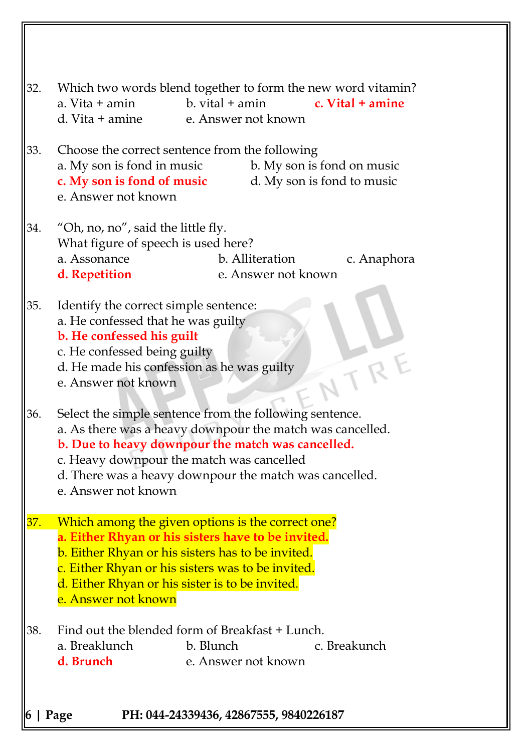| 32. | Which two words blend together to form the new word vitamin?<br>$b.$ vital $+$ amin<br>a. Vita + amin<br>c. Vital + amine<br>d. Vita + amine<br>e. Answer not known                                                                                                                                     |
|-----|---------------------------------------------------------------------------------------------------------------------------------------------------------------------------------------------------------------------------------------------------------------------------------------------------------|
| 33. | Choose the correct sentence from the following<br>a. My son is fond in music<br>b. My son is fond on music<br>c. My son is fond of music<br>d. My son is fond to music<br>e. Answer not known                                                                                                           |
| 34. | "Oh, no, no", said the little fly.<br>What figure of speech is used here?<br>a. Assonance<br>b. Alliteration<br>c. Anaphora<br>e. Answer not known<br>d. Repetition                                                                                                                                     |
| 35. | Identify the correct simple sentence:<br>a. He confessed that he was guilty<br>b. He confessed his guilt<br>c. He confessed being guilty<br>d. He made his confession as he was guilty<br>e. Answer not known                                                                                           |
| 36. | Select the simple sentence from the following sentence.<br>a. As there was a heavy downpour the match was cancelled.<br>b. Due to heavy downpour the match was cancelled.<br>c. Heavy downpour the match was cancelled<br>d. There was a heavy downpour the match was cancelled.<br>e. Answer not known |
| 37. | Which among the given options is the correct one?<br>a. Either Rhyan or his sisters have to be invited.<br>b. Either Rhyan or his sisters has to be invited.<br>c. Either Rhyan or his sisters was to be invited.<br>d. Either Rhyan or his sister is to be invited.<br>e. Answer not known             |
| 38. | Find out the blended form of Breakfast + Lunch.<br>a. Breaklunch<br>b. Blunch<br>c. Breakunch<br>d. Brunch<br>e. Answer not known                                                                                                                                                                       |
|     | Page<br>PH: 044-24339436, 42867555, 9840226187                                                                                                                                                                                                                                                          |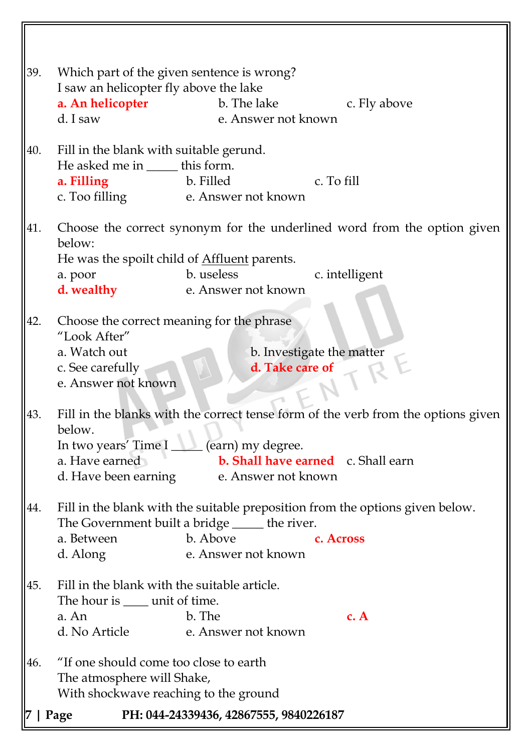|     | 39.<br>Which part of the given sentence is wrong?<br>I saw an helicopter fly above the lake |                                                     |                                                                                   |
|-----|---------------------------------------------------------------------------------------------|-----------------------------------------------------|-----------------------------------------------------------------------------------|
|     | a. An helicopter                                                                            | b. The lake                                         | c. Fly above                                                                      |
|     | d. I saw                                                                                    | e. Answer not known                                 |                                                                                   |
|     |                                                                                             |                                                     |                                                                                   |
| 40. | Fill in the blank with suitable gerund.                                                     |                                                     |                                                                                   |
|     | He asked me in ______ this form.                                                            |                                                     |                                                                                   |
|     | a. Filling                                                                                  | b. Filled                                           | c. To fill                                                                        |
|     |                                                                                             | c. Too filling e. Answer not known                  |                                                                                   |
| 41. |                                                                                             |                                                     | Choose the correct synonym for the underlined word from the option given          |
|     | below:                                                                                      |                                                     |                                                                                   |
|     |                                                                                             | He was the spoilt child of <b>Affluent</b> parents. |                                                                                   |
|     | a. poor                                                                                     | b. useless                                          | c. intelligent                                                                    |
|     | d. wealthy                                                                                  | e. Answer not known                                 |                                                                                   |
|     |                                                                                             |                                                     |                                                                                   |
| 42. | "Look After"                                                                                | Choose the correct meaning for the phrase           |                                                                                   |
|     | a. Watch out                                                                                |                                                     | b. Investigate the matter                                                         |
|     | c. See carefully                                                                            | d. Take care of                                     |                                                                                   |
|     | e. Answer not known                                                                         |                                                     |                                                                                   |
|     |                                                                                             |                                                     |                                                                                   |
| 43. |                                                                                             |                                                     | Fill in the blanks with the correct tense form of the verb from the options given |
|     | below.                                                                                      |                                                     |                                                                                   |
|     |                                                                                             | In two years' Time I _____ (earn) my degree.        |                                                                                   |
|     | a. Have earned                                                                              |                                                     | <b>b. Shall have earned</b> c. Shall earn                                         |
|     | d. Have been earning                                                                        | e. Answer not known                                 |                                                                                   |
| 44. |                                                                                             |                                                     | Fill in the blank with the suitable preposition from the options given below.     |
|     |                                                                                             | The Government built a bridge _____ the river.      |                                                                                   |
|     | a. Between                                                                                  | b. Above                                            | c. Across                                                                         |
|     | d. Along                                                                                    | e. Answer not known                                 |                                                                                   |
| 45. | Fill in the blank with the suitable article.                                                |                                                     |                                                                                   |
|     | The hour is <u>equal</u> unit of time.                                                      |                                                     |                                                                                   |
|     | a. An                                                                                       | b. The                                              | c. A                                                                              |
|     |                                                                                             | d. No Article e. Answer not known                   |                                                                                   |
|     |                                                                                             |                                                     |                                                                                   |
| 46. | "If one should come too close to earth                                                      |                                                     |                                                                                   |
|     | The atmosphere will Shake,<br>With shockwave reaching to the ground                         |                                                     |                                                                                   |
|     |                                                                                             |                                                     |                                                                                   |
|     | Page                                                                                        | PH: 044-24339436, 42867555, 9840226187              |                                                                                   |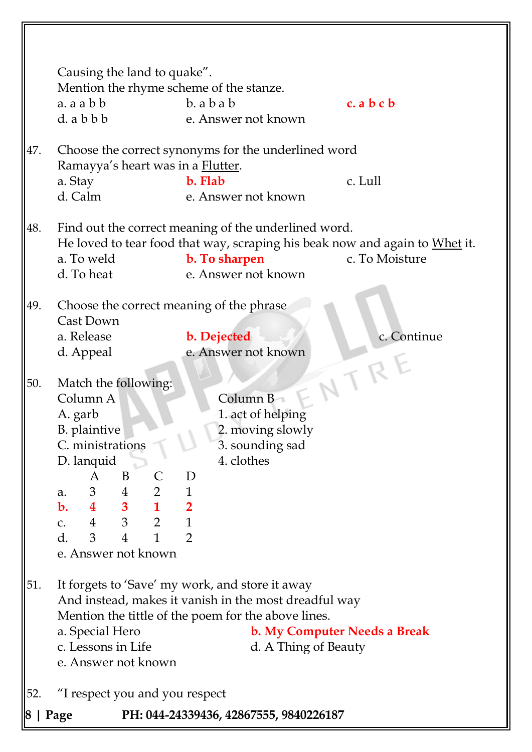|     | Causing the land to quake".<br>Mention the rhyme scheme of the stanze.                                                                                                                                                                    |                                                                                                                                                                                         |                              |
|-----|-------------------------------------------------------------------------------------------------------------------------------------------------------------------------------------------------------------------------------------------|-----------------------------------------------------------------------------------------------------------------------------------------------------------------------------------------|------------------------------|
|     | a. a a b b<br>$d.$ a $b$ $b$ $b$                                                                                                                                                                                                          | $b.$ a $b$ a $b$<br>e. Answer not known                                                                                                                                                 | c. a b c b                   |
| 47. | Ramayya's heart was in a <b>Flutter</b> .                                                                                                                                                                                                 | Choose the correct synonyms for the underlined word                                                                                                                                     |                              |
|     | a. Stay<br>d. Calm                                                                                                                                                                                                                        | b. Flab<br>e. Answer not known                                                                                                                                                          | c. Lull                      |
| 48. | a. To weld<br>d. To heat                                                                                                                                                                                                                  | Find out the correct meaning of the underlined word.<br>He loved to tear food that way, scraping his beak now and again to Whet it.<br>b. To sharpen<br>e. Answer not known             | c. To Moisture               |
| 49. | Choose the correct meaning of the phrase<br>Cast Down<br>a. Release<br>d. Appeal                                                                                                                                                          | b. Dejected<br>e. Answer not known                                                                                                                                                      | c. Continue                  |
| 50. | Match the following:<br>Column A<br>A. garb<br>B. plaintive<br>C. ministrations<br>D. lanquid<br>B<br>A<br>a. 3 4 2 1<br><b>b.</b> 4 3 1 2<br>c. 4 3 2 1<br>3 <sup>7</sup><br>d.<br>$\mathbf{1}$<br>$\overline{4}$<br>e. Answer not known | Column B<br>1. act of helping<br>2. moving slowly<br>3. sounding sad<br>4. clothes<br>D<br>$\overline{2}$                                                                               | NTR                          |
| 51. | a. Special Hero<br>c. Lessons in Life<br>e. Answer not known                                                                                                                                                                              | It forgets to 'Save' my work, and store it away<br>And instead, makes it vanish in the most dreadful way<br>Mention the tittle of the poem for the above lines.<br>d. A Thing of Beauty | b. My Computer Needs a Break |
| 52. | "I respect you and you respect                                                                                                                                                                                                            |                                                                                                                                                                                         |                              |
|     | Page                                                                                                                                                                                                                                      | PH: 044-24339436, 42867555, 9840226187                                                                                                                                                  |                              |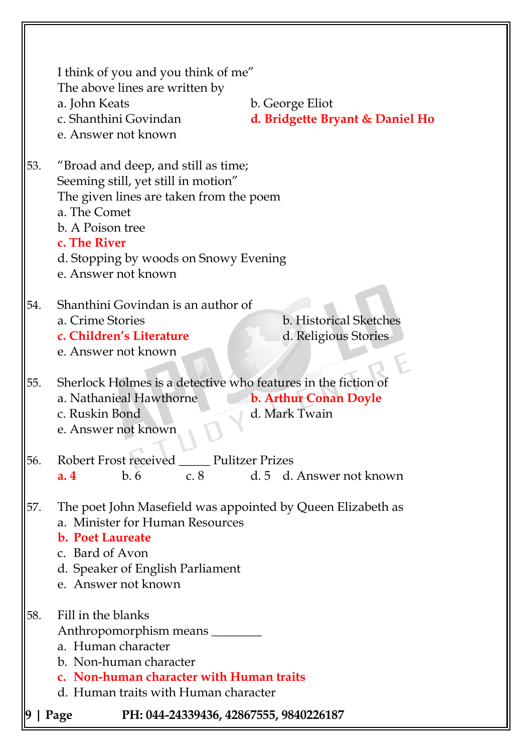|     | I think of you and you think of me"<br>The above lines are written by<br>a. John Keats<br>c. Shanthini Govindan<br>e. Answer not known                                                                                                    | b. George Eliot<br>d. Bridgette Bryant & Daniel Ho |
|-----|-------------------------------------------------------------------------------------------------------------------------------------------------------------------------------------------------------------------------------------------|----------------------------------------------------|
| 53. | "Broad and deep, and still as time;<br>Seeming still, yet still in motion"<br>The given lines are taken from the poem<br>a. The Comet<br>b. A Poison tree<br>c. The River<br>d. Stopping by woods on Snowy Evening<br>e. Answer not known |                                                    |
| 54. | Shanthini Govindan is an author of<br>a. Crime Stories<br>c. Children's Literature<br>e. Answer not known                                                                                                                                 | b. Historical Sketches<br>d. Religious Stories     |
| 55. | Sherlock Holmes is a detective who features in the fiction of<br>a. Nathanieal Hawthorne<br>c. Ruskin Bond<br>e. Answer not known                                                                                                         | b. Arthur Conan Doyle<br>d. Mark Twain             |
| 56. | Robert Frost received _____ Pulitzer Prizes<br>b.6<br>a.4                                                                                                                                                                                 | c. 8 d. 5 d. Answer not known                      |
| 57. | The poet John Masefield was appointed by Queen Elizabeth as<br>a. Minister for Human Resources<br><b>b. Poet Laureate</b><br>c. Bard of Avon<br>d. Speaker of English Parliament<br>e. Answer not known                                   |                                                    |
| 58. | Fill in the blanks<br>Anthropomorphism means<br>a. Human character<br>b. Non-human character<br>c. Non-human character with Human traits<br>d. Human traits with Human character                                                          |                                                    |
|     | PH: 044-24339436, 42867555, 9840226187<br>Page                                                                                                                                                                                            |                                                    |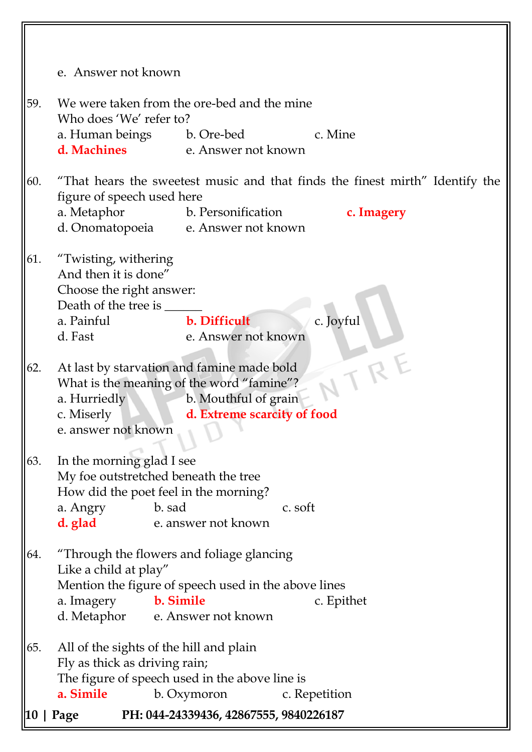|      | e. Answer not known                                                          |
|------|------------------------------------------------------------------------------|
|      |                                                                              |
| 59.  | We were taken from the ore-bed and the mine                                  |
|      | Who does 'We' refer to?                                                      |
|      | a. Human beings b. Ore-bed<br>c. Mine                                        |
|      | <b>d. Machines</b> e. Answer not known                                       |
| 60.  | "That hears the sweetest music and that finds the finest mirth" Identify the |
|      | figure of speech used here                                                   |
|      | a. Metaphor<br>b. Personification<br>c. Imagery                              |
|      | d. Onomatopoeia e. Answer not known                                          |
| 61.  |                                                                              |
|      | "Twisting, withering<br>And then it is done"                                 |
|      | Choose the right answer:                                                     |
|      |                                                                              |
|      | b. Difficult<br>a. Painful<br>c. Joyful                                      |
|      | e. Answer not known<br>d. Fast                                               |
|      |                                                                              |
| 62.  | TRE<br>At last by starvation and famine made bold                            |
|      | What is the meaning of the word "famine"?                                    |
|      | b. Mouthful of grain<br>a. Hurriedly                                         |
|      | d. Extreme scarcity of food<br>c. Miserly                                    |
|      | e. answer not known                                                          |
|      |                                                                              |
| 63.  | In the morning glad I see                                                    |
|      | My foe outstretched beneath the tree                                         |
|      | How did the poet feel in the morning?                                        |
|      | b. sad<br>a. Angry<br>c. soft                                                |
|      | d. glad<br>e. answer not known                                               |
| 64.  | "Through the flowers and foliage glancing                                    |
|      | Like a child at play"                                                        |
|      | Mention the figure of speech used in the above lines                         |
|      | b. Simile<br>a. Imagery<br>c. Epithet                                        |
|      | d. Metaphor e. Answer not known                                              |
| 65.  | All of the sights of the hill and plain                                      |
|      | Fly as thick as driving rain;                                                |
|      | The figure of speech used in the above line is                               |
|      | a. Simile<br>b. Oxymoron<br>c. Repetition                                    |
| 10 I | PH: 044-24339436, 42867555, 9840226187<br>Page                               |
|      |                                                                              |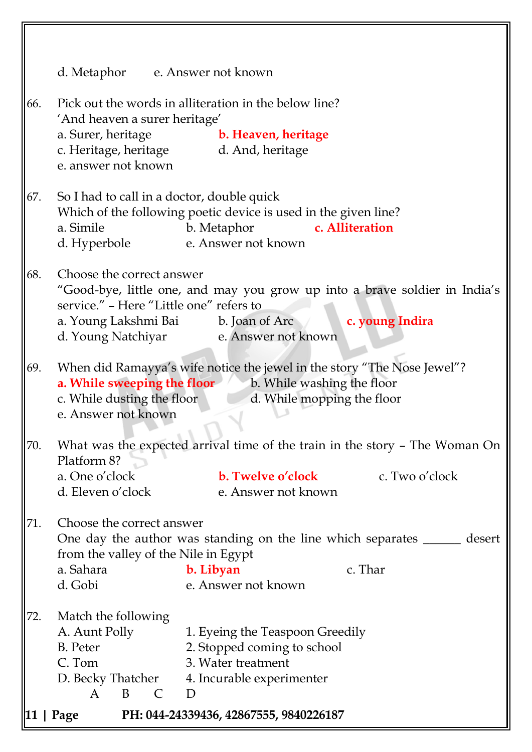|     | $ 11 $ Page                                                                                         | PH: 044-24339436, 42867555, 9840226187                                                                                                                      |
|-----|-----------------------------------------------------------------------------------------------------|-------------------------------------------------------------------------------------------------------------------------------------------------------------|
|     | $\mathsf{C}$<br>B<br>A                                                                              | D. Becky Thatcher 4. Incurable experimenter<br>D                                                                                                            |
| 72. | Match the following<br>A. Aunt Polly<br>B. Peter<br>C. Tom                                          | 1. Eyeing the Teaspoon Greedily<br>2. Stopped coming to school<br>3. Water treatment                                                                        |
|     | d. Gobi                                                                                             | e. Answer not known                                                                                                                                         |
| 71. | Choose the correct answer<br>from the valley of the Nile in Egypt<br>a. Sahara                      | One day the author was standing on the line which separates ______ desert<br>c. Thar<br>b. Libyan                                                           |
|     | d. Eleven o'clock                                                                                   | e. Answer not known                                                                                                                                         |
| 70. | Platform 8?<br>a. One o'clock                                                                       | What was the expected arrival time of the train in the story - The Woman On<br><b>b. Twelve o'clock</b><br>c. Two o'clock                                   |
| 69. | a. While sweeping the floor<br>c. While dusting the floor<br>e. Answer not known                    | When did Ramayya's wife notice the jewel in the story "The Nose Jewel"?<br>b. While washing the floor<br>d. While mopping the floor                         |
| 68. | Choose the correct answer<br>service." - Here "Little one" refers to<br>d. Young Natchiyar          | "Good-bye, little one, and may you grow up into a brave soldier in India's<br>a. Young Lakshmi Bai b. Joan of Arc<br>c. young Indira<br>e. Answer not known |
| 67. | So I had to call in a doctor, double quick<br>a. Simile<br>d. Hyperbole                             | Which of the following poetic device is used in the given line?<br>c. Alliteration<br>b. Metaphor<br>e. Answer not known                                    |
| 66. | 'And heaven a surer heritage'<br>a. Surer, heritage<br>c. Heritage, heritage<br>e. answer not known | Pick out the words in alliteration in the below line?<br><b>b. Heaven, heritage</b><br>d. And, heritage                                                     |
|     | d. Metaphor                                                                                         | e. Answer not known                                                                                                                                         |

μ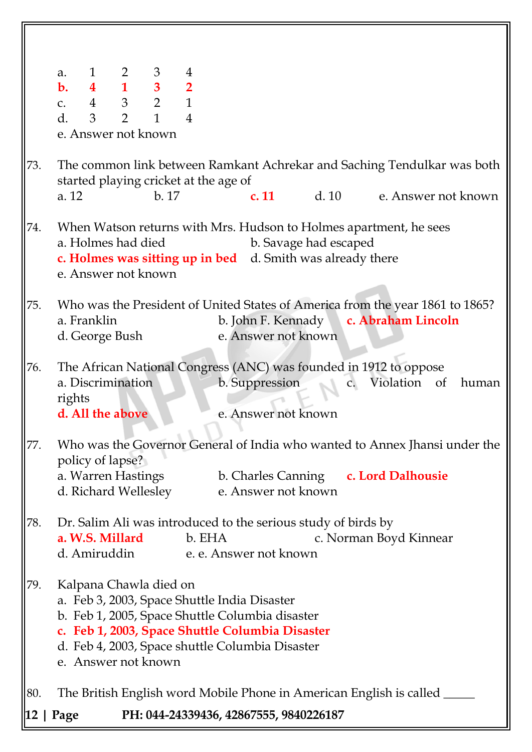|     | $\begin{array}{cccccc} 1 & 2 & 3 & 4 \\ \textbf{4} & \textbf{1} & \textbf{3} & \textbf{2} \\ 4 & 3 & 2 & 1 \end{array}$<br>a.<br>$\mathbf{b}$ .<br>$C_{\bullet}$<br>$\overline{2}$<br>$\mathbf{1}$<br>d.<br>3<br>$\overline{4}$<br>e. Answer not known |
|-----|--------------------------------------------------------------------------------------------------------------------------------------------------------------------------------------------------------------------------------------------------------|
| 73. | The common link between Ramkant Achrekar and Saching Tendulkar was both<br>started playing cricket at the age of<br>b.17<br><b>c. 11</b> d. 10 e. Answer not known<br>a. 12                                                                            |
| 74. | When Watson returns with Mrs. Hudson to Holmes apartment, he sees<br>a. Holmes had died<br>b. Savage had escaped<br><b>c. Holmes was sitting up in bed</b> d. Smith was already there<br>e. Answer not known                                           |
| 75. | Who was the President of United States of America from the year 1861 to 1865?<br>a. Franklin<br>b. John F. Kennady<br>c. Abraham Lincoln<br>e. Answer not known<br>d. George Bush                                                                      |
| 76. | The African National Congress (ANC) was founded in 1912 to oppose<br>b. Suppression<br>Violation<br>a. Discrimination<br>of<br>$\mathsf{C}$ .<br>human<br>rights<br>d. All the above<br>e. Answer not known                                            |
| 77. | Who was the Governor General of India who wanted to Annex Jhansi under the<br>policy of lapse?<br>a. Warren Hastings<br>b. Charles Canning<br>c. Lord Dalhousie<br>d. Richard Wellesley<br>e. Answer not known                                         |
| 78. | Dr. Salim Ali was introduced to the serious study of birds by<br>a. W.S. Millard<br>c. Norman Boyd Kinnear<br>b. EHA<br>d. Amiruddin e. e. Answer not known                                                                                            |
| 79. | Kalpana Chawla died on<br>a. Feb 3, 2003, Space Shuttle India Disaster<br>b. Feb 1, 2005, Space Shuttle Columbia disaster<br>c. Feb 1, 2003, Space Shuttle Columbia Disaster<br>d. Feb 4, 2003, Space shuttle Columbia Disaster<br>e. Answer not known |
| 80. | The British English word Mobile Phone in American English is called _                                                                                                                                                                                  |
|     | PH: 044-24339436, 42867555, 9840226187<br>$12 \mid \text{Page}$                                                                                                                                                                                        |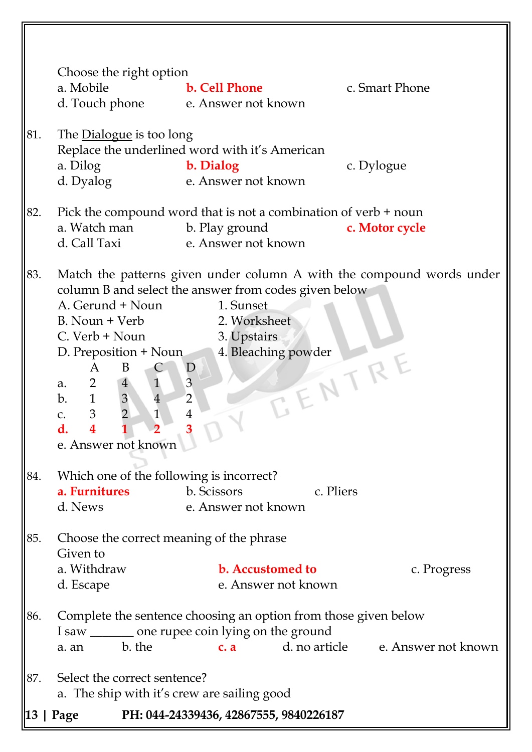|     | Choose the right option<br>a. Mobile                                                                                                                                                                                                                                                                                                                                                                                                                                                                                                                                                        | <b>b. Cell Phone</b>                                                                                      |            | c. Smart Phone |  |  |
|-----|---------------------------------------------------------------------------------------------------------------------------------------------------------------------------------------------------------------------------------------------------------------------------------------------------------------------------------------------------------------------------------------------------------------------------------------------------------------------------------------------------------------------------------------------------------------------------------------------|-----------------------------------------------------------------------------------------------------------|------------|----------------|--|--|
|     | d. Touch phone e. Answer not known                                                                                                                                                                                                                                                                                                                                                                                                                                                                                                                                                          |                                                                                                           |            |                |  |  |
| 81. | The Dialogue is too long<br>Replace the underlined word with it's American<br>a. Dilog<br>b. Dialog<br>e. Answer not known<br>d. Dyalog                                                                                                                                                                                                                                                                                                                                                                                                                                                     |                                                                                                           | c. Dylogue |                |  |  |
| 82. | Pick the compound word that is not a combination of verb $+$ noun<br>a. Watch man<br>d. Call Taxi                                                                                                                                                                                                                                                                                                                                                                                                                                                                                           | b. Play ground<br>e. Answer not known                                                                     |            | c. Motor cycle |  |  |
| 83. | Match the patterns given under column A with the compound words under<br>column B and select the answer from codes given below<br>A. Gerund + Noun<br>1. Sunset<br>B. Noun + Verb<br>2. Worksheet<br>C. Verb + Noun<br>3. Upstairs<br>4. Bleaching powder<br>D. Preposition + Noun<br>EENTRE<br>$\mathbf{D}$<br>A<br>B<br>$\mathbf{1}$<br>3<br>$2\overline{ }$<br>$\overline{4}$<br>a.<br>$\mathfrak{B}$<br>$\overline{4}$<br>1<br>$\overline{2}$<br>b.<br>$\overline{2}$<br>$\mathfrak{Z}$<br>$\mathbf{1}$<br>$\overline{4}$<br>C.<br>$\overline{\mathbf{4}}$<br>d.<br>e. Answer not known |                                                                                                           |            |                |  |  |
| 84. | Which one of the following is incorrect?<br>a. Furnitures<br>d. News                                                                                                                                                                                                                                                                                                                                                                                                                                                                                                                        | b. Scissors<br>e. Answer not known                                                                        | c. Pliers  |                |  |  |
| 85. | Given to<br>a. Withdraw<br>d. Escape                                                                                                                                                                                                                                                                                                                                                                                                                                                                                                                                                        | Choose the correct meaning of the phrase<br><b>b.</b> Accustomed to<br>c. Progress<br>e. Answer not known |            |                |  |  |
| 86. | Complete the sentence choosing an option from those given below<br>I saw ________ one rupee coin lying on the ground<br>b. the<br>d. no article e. Answer not known<br>c. a<br>a. an                                                                                                                                                                                                                                                                                                                                                                                                        |                                                                                                           |            |                |  |  |
| 87. | Select the correct sentence?<br>a. The ship with it's crew are sailing good                                                                                                                                                                                                                                                                                                                                                                                                                                                                                                                 |                                                                                                           |            |                |  |  |
|     | PH: 044-24339436, 42867555, 9840226187<br>Page                                                                                                                                                                                                                                                                                                                                                                                                                                                                                                                                              |                                                                                                           |            |                |  |  |

║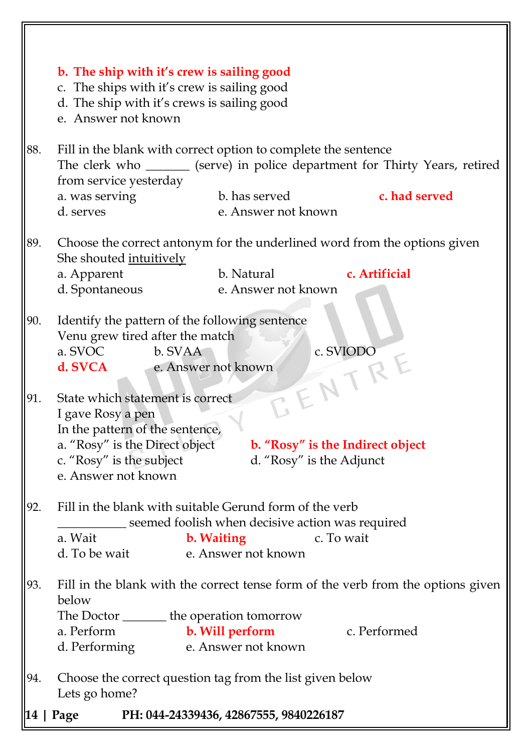|     | b. The ship with it's crew is sailing good<br>c. The ships with it's crew is sailing good                                                                                                                                                     |  |  |  |  |  |
|-----|-----------------------------------------------------------------------------------------------------------------------------------------------------------------------------------------------------------------------------------------------|--|--|--|--|--|
|     | d. The ship with it's crews is sailing good<br>e. Answer not known                                                                                                                                                                            |  |  |  |  |  |
| 88. | Fill in the blank with correct option to complete the sentence<br>The clerk who ________ (serve) in police department for Thirty Years, retired<br>from service yesterday                                                                     |  |  |  |  |  |
|     | b. has served<br>c. had served<br>a. was serving<br>d. serves<br>e. Answer not known                                                                                                                                                          |  |  |  |  |  |
| 89. | Choose the correct antonym for the underlined word from the options given<br>She shouted intuitively                                                                                                                                          |  |  |  |  |  |
|     | b. Natural<br>c. Artificial<br>a. Apparent<br>e. Answer not known<br>d. Spontaneous                                                                                                                                                           |  |  |  |  |  |
| 90. | Identify the pattern of the following sentence<br>Venu grew tired after the match<br>a. SVOC<br>WHEET RE<br>b. SVAA<br>d. SVCA<br>e. Answer not known                                                                                         |  |  |  |  |  |
| 91. | State which statement is correct<br>I gave Rosy a pen<br>In the pattern of the sentence,<br>a. "Rosy" is the Direct object<br>b. "Rosy" is the Indirect object<br>c. "Rosy" is the subject<br>d. "Rosy" is the Adjunct<br>e. Answer not known |  |  |  |  |  |
| 92. | Fill in the blank with suitable Gerund form of the verb<br>seemed foolish when decisive action was required<br>c. To wait<br><b>b.</b> Waiting<br>a. Wait<br>e. Answer not known<br>d. To be wait                                             |  |  |  |  |  |
| 93. | Fill in the blank with the correct tense form of the verb from the options given<br>below<br>The Doctor ________ the operation tomorrow                                                                                                       |  |  |  |  |  |
|     | a. Perform<br>b. Will perform<br>c. Performed<br>e. Answer not known<br>d. Performing                                                                                                                                                         |  |  |  |  |  |
| 94. | Choose the correct question tag from the list given below<br>Lets go home?                                                                                                                                                                    |  |  |  |  |  |
|     | PH: 044-24339436, 42867555, 9840226187<br>Page                                                                                                                                                                                                |  |  |  |  |  |